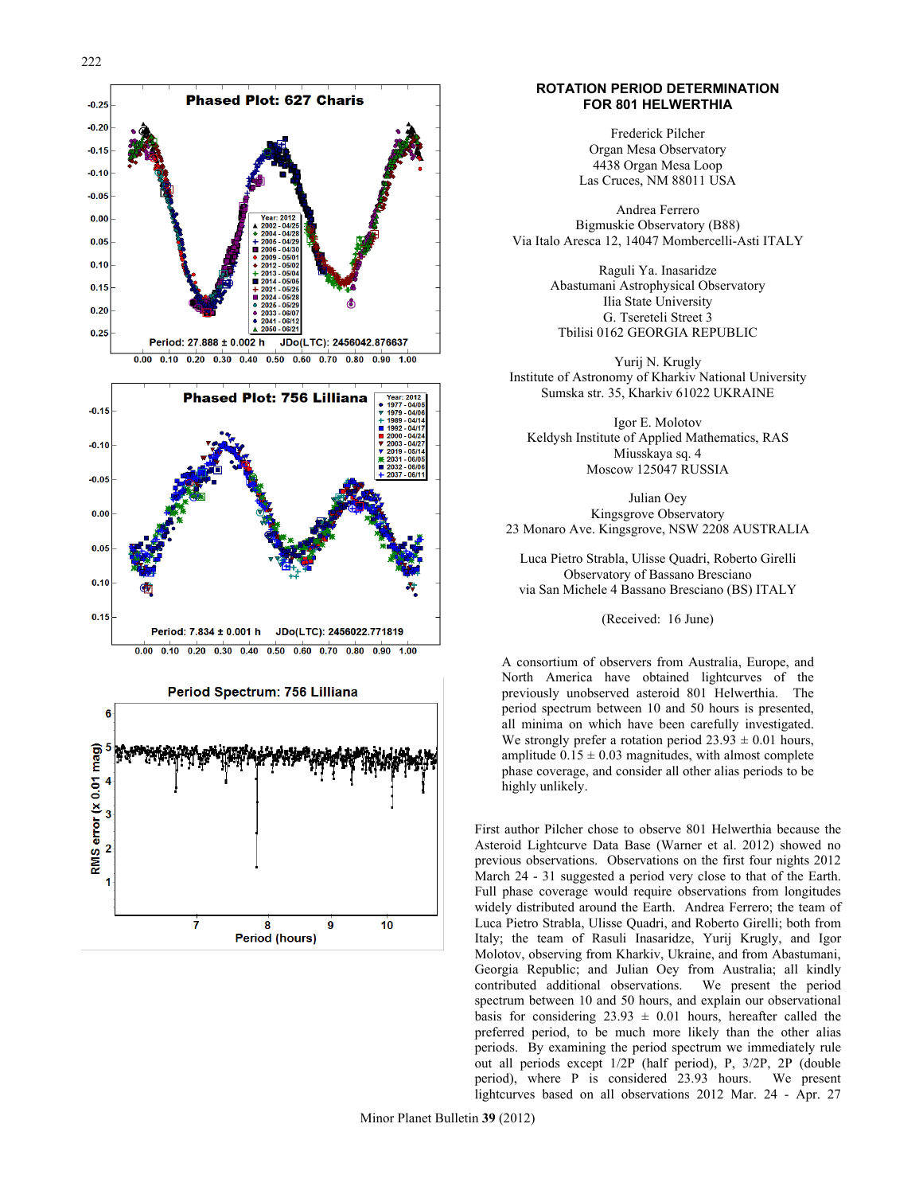

 $\overline{7}$ 

8

Period (hours)

9

10

### **ROTATION PERIOD DETERMINATION FOR 801 HELWERTHIA**

Frederick Pilcher Organ Mesa Observatory 4438 Organ Mesa Loop Las Cruces, NM 88011 USA

Andrea Ferrero Bigmuskie Observatory (B88) Via Italo Aresca 12, 14047 Mombercelli-Asti ITALY

> Raguli Ya. Inasaridze Abastumani Astrophysical Observatory Ilia State University G. Tsereteli Street 3 Tbilisi 0162 GEORGIA REPUBLIC

Yurij N. Krugly Institute of Astronomy of Kharkiv National University Sumska str. 35, Kharkiv 61022 UKRAINE

Igor E. Molotov Keldysh Institute of Applied Mathematics, RAS Miusskaya sq. 4 Moscow 125047 RUSSIA

Julian Oey Kingsgrove Observatory 23 Monaro Ave. Kingsgrove, NSW 2208 AUSTRALIA

Luca Pietro Strabla, Ulisse Quadri, Roberto Girelli Observatory of Bassano Bresciano via San Michele 4 Bassano Bresciano (BS) ITALY

(Received: 16 June)

A consortium of observers from Australia, Europe, and North America have obtained lightcurves of the previously unobserved asteroid 801 Helwerthia. The period spectrum between 10 and 50 hours is presented, all minima on which have been carefully investigated. We strongly prefer a rotation period  $23.93 \pm 0.01$  hours, amplitude  $0.15 \pm 0.03$  magnitudes, with almost complete phase coverage, and consider all other alias periods to be highly unlikely.

First author Pilcher chose to observe 801 Helwerthia because the Asteroid Lightcurve Data Base (Warner et al. 2012) showed no previous observations. Observations on the first four nights 2012 March 24 - 31 suggested a period very close to that of the Earth. Full phase coverage would require observations from longitudes widely distributed around the Earth. Andrea Ferrero; the team of Luca Pietro Strabla, Ulisse Quadri, and Roberto Girelli; both from Italy; the team of Rasuli Inasaridze, Yurij Krugly, and Igor Molotov, observing from Kharkiv, Ukraine, and from Abastumani, Georgia Republic; and Julian Oey from Australia; all kindly contributed additional observations. We present the period spectrum between 10 and 50 hours, and explain our observational basis for considering  $23.93 \pm 0.01$  hours, hereafter called the preferred period, to be much more likely than the other alias periods. By examining the period spectrum we immediately rule out all periods except 1/2P (half period), P, 3/2P, 2P (double period), where P is considered 23.93 hours. We present lightcurves based on all observations 2012 Mar. 24 - Apr. 27

Minor Planet Bulletin **39** (2012)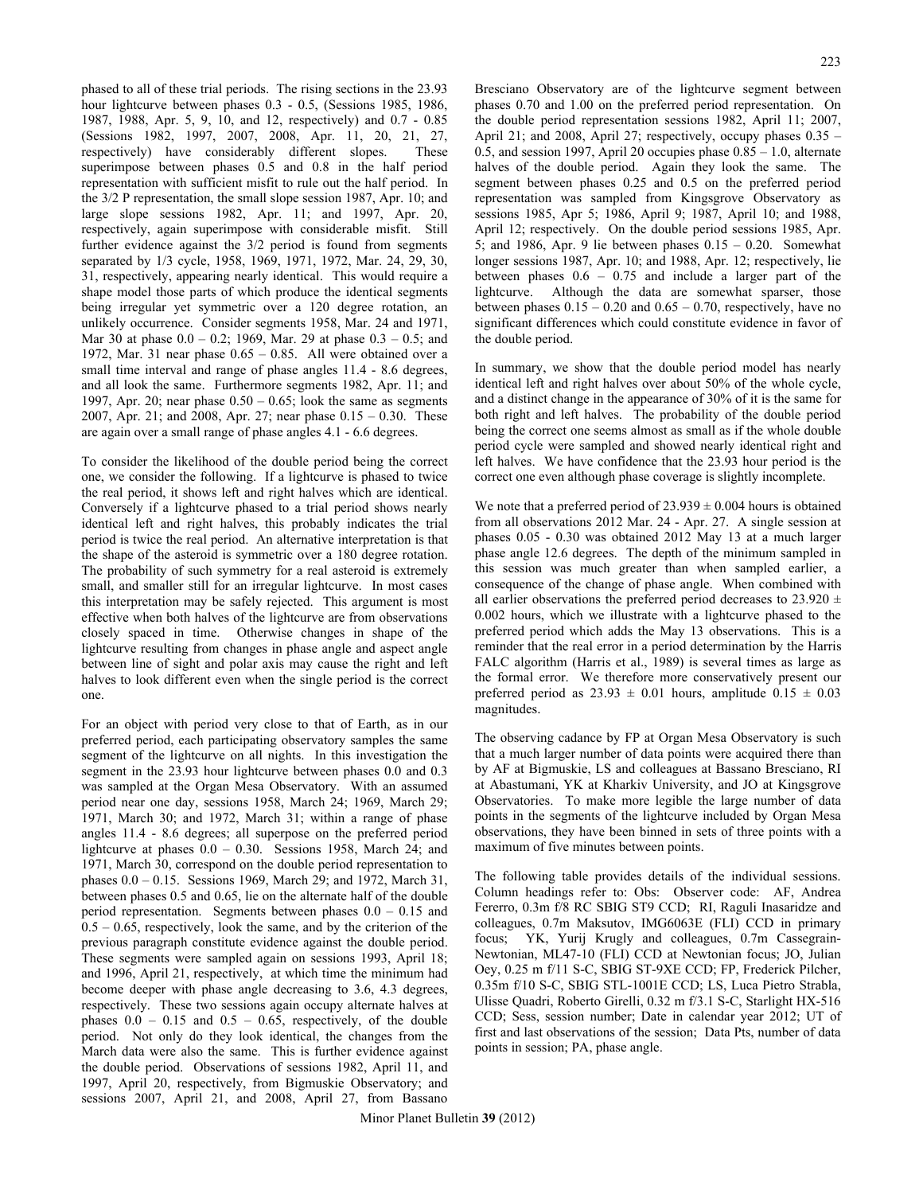phased to all of these trial periods. The rising sections in the 23.93 hour lightcurve between phases 0.3 - 0.5, (Sessions 1985, 1986, 1987, 1988, Apr. 5, 9, 10, and 12, respectively) and 0.7 - 0.85 (Sessions 1982, 1997, 2007, 2008, Apr. 11, 20, 21, 27, respectively) have considerably different slopes. These superimpose between phases 0.5 and 0.8 in the half period representation with sufficient misfit to rule out the half period. In the 3/2 P representation, the small slope session 1987, Apr. 10; and large slope sessions 1982, Apr. 11; and 1997, Apr. 20, respectively, again superimpose with considerable misfit. Still further evidence against the  $3/2$  period is found from segments separated by 1/3 cycle, 1958, 1969, 1971, 1972, Mar. 24, 29, 30, 31, respectively, appearing nearly identical. This would require a shape model those parts of which produce the identical segments being irregular yet symmetric over a 120 degree rotation, an unlikely occurrence. Consider segments 1958, Mar. 24 and 1971, Mar 30 at phase 0.0 – 0.2; 1969, Mar. 29 at phase 0.3 – 0.5; and 1972, Mar. 31 near phase  $0.65 - 0.85$ . All were obtained over a small time interval and range of phase angles 11.4 - 8.6 degrees, and all look the same. Furthermore segments 1982, Apr. 11; and 1997, Apr. 20; near phase  $0.50 - 0.65$ ; look the same as segments 2007, Apr. 21; and 2008, Apr. 27; near phase 0.15 – 0.30. These are again over a small range of phase angles 4.1 - 6.6 degrees.

To consider the likelihood of the double period being the correct one, we consider the following. If a lightcurve is phased to twice the real period, it shows left and right halves which are identical. Conversely if a lightcurve phased to a trial period shows nearly identical left and right halves, this probably indicates the trial period is twice the real period. An alternative interpretation is that the shape of the asteroid is symmetric over a 180 degree rotation. The probability of such symmetry for a real asteroid is extremely small, and smaller still for an irregular lightcurve. In most cases this interpretation may be safely rejected. This argument is most effective when both halves of the lightcurve are from observations closely spaced in time. Otherwise changes in shape of the lightcurve resulting from changes in phase angle and aspect angle between line of sight and polar axis may cause the right and left halves to look different even when the single period is the correct one.

For an object with period very close to that of Earth, as in our preferred period, each participating observatory samples the same segment of the lightcurve on all nights. In this investigation the segment in the 23.93 hour lightcurve between phases 0.0 and 0.3 was sampled at the Organ Mesa Observatory. With an assumed period near one day, sessions 1958, March 24; 1969, March 29; 1971, March 30; and 1972, March 31; within a range of phase angles 11.4 - 8.6 degrees; all superpose on the preferred period lightcurve at phases  $0.0 - 0.30$ . Sessions 1958, March 24; and 1971, March 30, correspond on the double period representation to phases 0.0 – 0.15. Sessions 1969, March 29; and 1972, March 31, between phases 0.5 and 0.65, lie on the alternate half of the double period representation. Segments between phases 0.0 – 0.15 and  $0.5 - 0.65$ , respectively, look the same, and by the criterion of the previous paragraph constitute evidence against the double period. These segments were sampled again on sessions 1993, April 18; and 1996, April 21, respectively, at which time the minimum had become deeper with phase angle decreasing to 3.6, 4.3 degrees, respectively. These two sessions again occupy alternate halves at phases  $0.0 - 0.15$  and  $0.5 - 0.65$ , respectively, of the double period. Not only do they look identical, the changes from the March data were also the same. This is further evidence against the double period. Observations of sessions 1982, April 11, and 1997, April 20, respectively, from Bigmuskie Observatory; and sessions 2007, April 21, and 2008, April 27, from Bassano

Bresciano Observatory are of the lightcurve segment between phases 0.70 and 1.00 on the preferred period representation. On the double period representation sessions 1982, April 11; 2007, April 21; and 2008, April 27; respectively, occupy phases 0.35 – 0.5, and session 1997, April 20 occupies phase 0.85 – 1.0, alternate halves of the double period. Again they look the same. The segment between phases 0.25 and 0.5 on the preferred period representation was sampled from Kingsgrove Observatory as sessions 1985, Apr 5; 1986, April 9; 1987, April 10; and 1988, April 12; respectively. On the double period sessions 1985, Apr. 5; and 1986, Apr. 9 lie between phases  $0.15 - 0.20$ . Somewhat longer sessions 1987, Apr. 10; and 1988, Apr. 12; respectively, lie between phases  $0.6 - 0.75$  and include a larger part of the lightcurve. Although the data are somewhat sparser, those between phases  $0.15 - 0.20$  and  $0.65 - 0.70$ , respectively, have no significant differences which could constitute evidence in favor of the double period.

In summary, we show that the double period model has nearly identical left and right halves over about 50% of the whole cycle, and a distinct change in the appearance of 30% of it is the same for both right and left halves. The probability of the double period being the correct one seems almost as small as if the whole double period cycle were sampled and showed nearly identical right and left halves. We have confidence that the 23.93 hour period is the correct one even although phase coverage is slightly incomplete.

We note that a preferred period of  $23.939 \pm 0.004$  hours is obtained from all observations 2012 Mar. 24 - Apr. 27. A single session at phases 0.05 - 0.30 was obtained 2012 May 13 at a much larger phase angle 12.6 degrees. The depth of the minimum sampled in this session was much greater than when sampled earlier, a consequence of the change of phase angle. When combined with all earlier observations the preferred period decreases to  $23.920 \pm$ 0.002 hours, which we illustrate with a lightcurve phased to the preferred period which adds the May 13 observations. This is a reminder that the real error in a period determination by the Harris FALC algorithm (Harris et al., 1989) is several times as large as the formal error. We therefore more conservatively present our preferred period as  $23.93 \pm 0.01$  hours, amplitude  $0.15 \pm 0.03$ magnitudes.

The observing cadance by FP at Organ Mesa Observatory is such that a much larger number of data points were acquired there than by AF at Bigmuskie, LS and colleagues at Bassano Bresciano, RI at Abastumani, YK at Kharkiv University, and JO at Kingsgrove Observatories. To make more legible the large number of data points in the segments of the lightcurve included by Organ Mesa observations, they have been binned in sets of three points with a maximum of five minutes between points.

The following table provides details of the individual sessions. Column headings refer to: Obs: Observer code: AF, Andrea Fererro, 0.3m f/8 RC SBIG ST9 CCD; RI, Raguli Inasaridze and colleagues, 0.7m Maksutov, IMG6063E (FLI) CCD in primary focus; YK, Yurij Krugly and colleagues, 0.7m Cassegrain-Newtonian, ML47-10 (FLI) CCD at Newtonian focus; JO, Julian Oey, 0.25 m f/11 S-C, SBIG ST-9XE CCD; FP, Frederick Pilcher, 0.35m f/10 S-C, SBIG STL-1001E CCD; LS, Luca Pietro Strabla, Ulisse Quadri, Roberto Girelli, 0.32 m f/3.1 S-C, Starlight HX-516 CCD; Sess, session number; Date in calendar year 2012; UT of first and last observations of the session; Data Pts, number of data points in session; PA, phase angle.

Minor Planet Bulletin **39** (2012)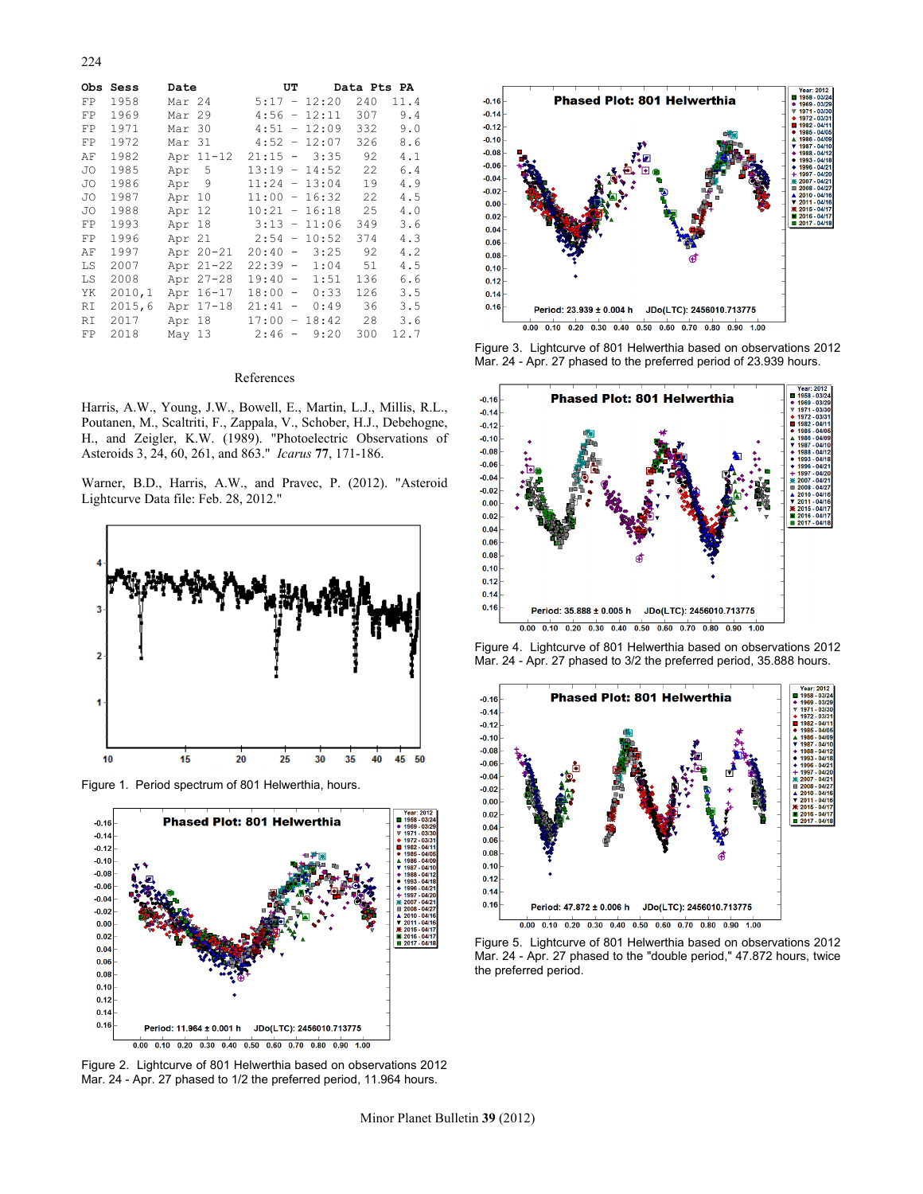224

|    | Obs Sess | Date   |           | UΤ              |                          |                | Data Pts PA |      |  |
|----|----------|--------|-----------|-----------------|--------------------------|----------------|-------------|------|--|
| FP | 1958     | Mar 24 |           | $5:17 -$        |                          | 12:20          | 240         | 11.4 |  |
| FP | 1969     | Mar 29 |           | 4:56            | $\overline{\phantom{a}}$ | 12:11          | 307         | 9.4  |  |
| FP | 1971     | Mar 30 |           | 4:51            |                          | $-12:09$       | 332         | 9.0  |  |
| FP | 1972     | Mar 31 |           |                 |                          | $4:52 - 12:07$ | 326         | 8.6  |  |
| ΑF | 1982     |        | Apr 11-12 |                 |                          | $21:15 - 3:35$ | 92          | 4.1  |  |
| JO | 1985     | Apr 5  |           | $13:19 - 14:52$ |                          |                | 22          | 6.4  |  |
| JO | 1986     | Apr 9  |           | $11:24 - 13:04$ |                          |                | 19          | 4.9  |  |
| JO | 1987     | Apr 10 |           | $11:00 - 16:32$ |                          |                | 22          | 4.5  |  |
| JO | 1988     | Apr 12 |           | $10:21 - 16:18$ |                          |                | 25          | 4.0  |  |
| FP | 1993     | Apr 18 |           |                 |                          | $3:13 - 11:06$ | 349         | 3.6  |  |
| FP | 1996     | Apr 21 |           | 2:54            | $ \,$                    | 10:52          | 374         | 4.3  |  |
| ΑF | 1997     |        | Apr 20-21 | 20:40           | $\sim$                   | 3:25           | 92          | 4.2  |  |
| LS | 2007     |        | Apr 21-22 | 22:39 -         |                          | 1:04           | 51          | 4.5  |  |
| LS | 2008     |        | Apr 27-28 | 19:40           | $\sim$                   | 1:51           | 136         | 6.6  |  |
| ΥK | 2010,1   | Apr    | $16 - 17$ | 18:00           | $\sim$                   | 0:33           | 126         | 3.5  |  |
| RI | 2015,6   | Apr    | $17 - 18$ | 21:41           | $\overline{\phantom{m}}$ | 0:49           | 36          | 3.5  |  |
| RI | 2017     | Apr    | 18        | 17:00           | $\qquad \qquad -$        | 18:42          | 28          | 3.6  |  |
| FP | 2018     | May 13 |           | 2:46            | $\overline{\phantom{a}}$ | 9:20           | 300         | 12.7 |  |

#### References

Harris, A.W., Young, J.W., Bowell, E., Martin, L.J., Millis, R.L., Poutanen, M., Scaltriti, F., Zappala, V., Schober, H.J., Debehogne, H., and Zeigler, K.W. (1989). "Photoelectric Observations of Asteroids 3, 24, 60, 261, and 863." *Icarus* **77**, 171-186.

Warner, B.D., Harris, A.W., and Pravec, P. (2012). "Asteroid Lightcurve Data file: Feb. 28, 2012."



Figure 1. Period spectrum of 801 Helwerthia, hours.



Figure 2. Lightcurve of 801 Helwerthia based on observations 2012 Mar. 24 - Apr. 27 phased to 1/2 the preferred period, 11.964 hours.



Figure 3. Lightcurve of 801 Helwerthia based on observations 2012 Mar. 24 - Apr. 27 phased to the preferred period of 23.939 hours.



Figure 4. Lightcurve of 801 Helwerthia based on observations 2012 Mar. 24 - Apr. 27 phased to 3/2 the preferred period, 35.888 hours.



Figure 5. Lightcurve of 801 Helwerthia based on observations 2012 Mar. 24 - Apr. 27 phased to the "double period," 47.872 hours, twice the preferred period.